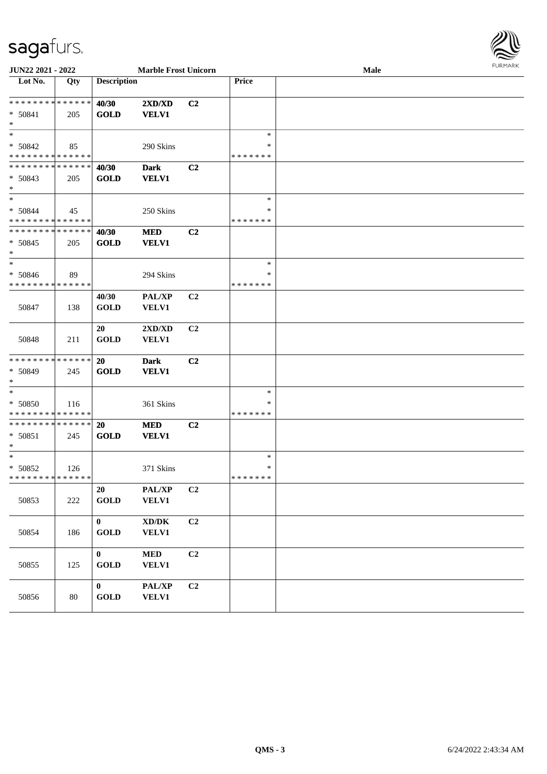## sagafurs.



| JUN22 2021 - 2022                                    |     | <b>Marble Frost Unicorn</b> |                                                  |                |                                   | Male | <b>FURPIARR</b> |
|------------------------------------------------------|-----|-----------------------------|--------------------------------------------------|----------------|-----------------------------------|------|-----------------|
| Lot No.                                              | Qty | <b>Description</b>          |                                                  |                | Price                             |      |                 |
| * * * * * * * * * * * * * * *<br>* 50841<br>$\ast$   | 205 | 40/30<br><b>GOLD</b>        | 2XD/XD<br><b>VELV1</b>                           | C2             |                                   |      |                 |
| $\ast$<br>$* 50842$<br>* * * * * * * * * * * * * *   | 85  |                             | 290 Skins                                        |                | $\ast$<br>$\ast$<br>* * * * * * * |      |                 |
| ******** <mark>******</mark><br>* 50843<br>$*$       | 205 | 40/30<br><b>GOLD</b>        | <b>Dark</b><br><b>VELV1</b>                      | C2             |                                   |      |                 |
| $*$<br>$* 50844$<br>* * * * * * * * * * * * * *      | 45  |                             | 250 Skins                                        |                | $\ast$<br>∗<br>* * * * * * *      |      |                 |
| * * * * * * * * * * * * * *<br>$* 50845$<br>$\ast$   | 205 | 40/30<br><b>GOLD</b>        | <b>MED</b><br><b>VELV1</b>                       | C2             |                                   |      |                 |
| $\ast$<br>* 50846<br>* * * * * * * * * * * * * *     | 89  |                             | 294 Skins                                        |                | $\ast$<br>∗<br>* * * * * * *      |      |                 |
| 50847                                                | 138 | 40/30<br><b>GOLD</b>        | PAL/XP<br><b>VELV1</b>                           | C <sub>2</sub> |                                   |      |                 |
| 50848                                                | 211 | 20<br><b>GOLD</b>           | $2{\bf X}{\bf D}/{\bf X}{\bf D}$<br><b>VELV1</b> | C <sub>2</sub> |                                   |      |                 |
| * * * * * * * * * * * * * *<br>$* 50849$<br>$*$      | 245 | 20<br><b>GOLD</b>           | <b>Dark</b><br><b>VELV1</b>                      | C2             |                                   |      |                 |
| $\ast$<br>* 50850<br>* * * * * * * * * * * * * *     | 116 |                             | 361 Skins                                        |                | $\ast$<br>∗<br>* * * * * * *      |      |                 |
| * * * * * * * * * * * * * * *<br>$* 50851$<br>$\ast$ | 245 | 20<br><b>GOLD</b>           | <b>MED</b><br><b>VELV1</b>                       | C2             |                                   |      |                 |
| $*$<br>$* 50852$<br>* * * * * * * * * * * * * *      | 126 |                             | 371 Skins                                        |                | $\ast$<br>∗<br>*******            |      |                 |
| 50853                                                | 222 | 20<br><b>GOLD</b>           | PAL/XP<br><b>VELV1</b>                           | C2             |                                   |      |                 |
| 50854                                                | 186 | $\mathbf{0}$<br><b>GOLD</b> | XD/DK<br><b>VELV1</b>                            | C <sub>2</sub> |                                   |      |                 |
| 50855                                                | 125 | $\mathbf{0}$<br><b>GOLD</b> | <b>MED</b><br><b>VELV1</b>                       | C <sub>2</sub> |                                   |      |                 |
| 50856                                                | 80  | $\bf{0}$<br><b>GOLD</b>     | PAL/XP<br><b>VELV1</b>                           | C <sub>2</sub> |                                   |      |                 |